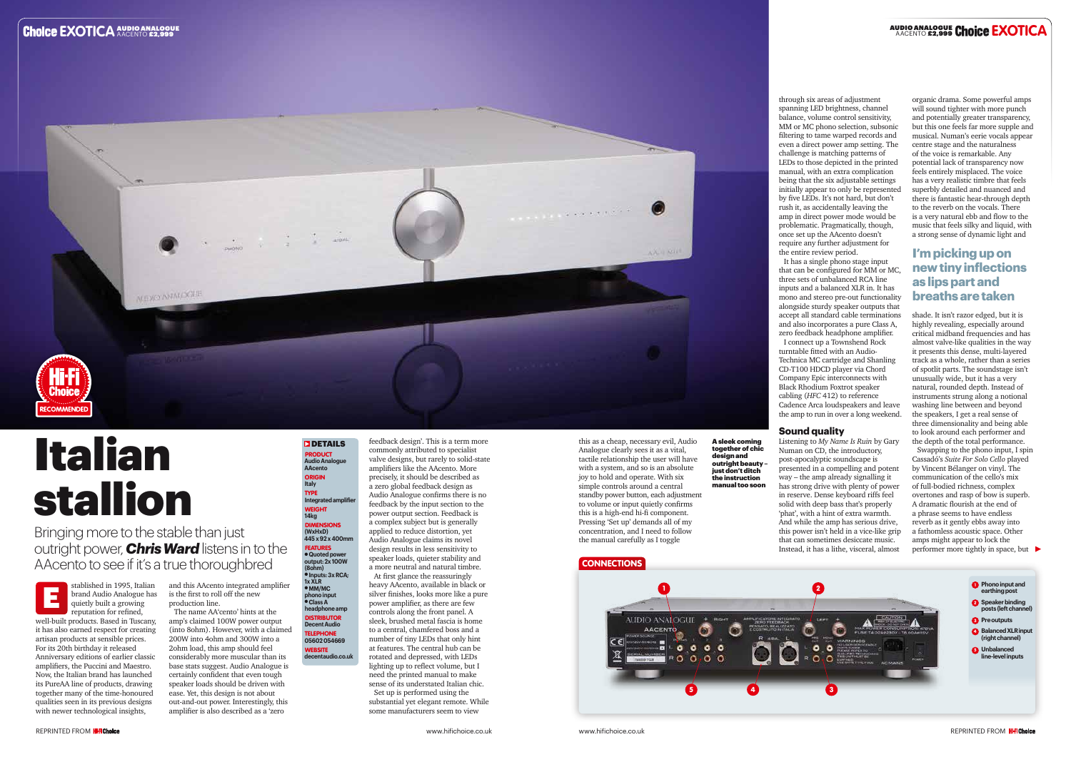

**05602 054669** WEBSITE **decentaudio.co.uk**

# Italian stallion

Bringing more to the stable than just outright power, *Chris Ward* listens in to the AAcento to see if it's a true thoroughbred

> is the first to roll off the new production line.

The name AA'cento' hints at the amp's claimed 100W power output (into 8ohm). However, with a claimed 200W into 4ohm and 300W into a 2ohm load, this amp should feel considerably more muscular than its base stats suggest. Audio Analogue is certainly confident that even tough speaker loads should be driven with ease. Yet, this design is not about out-and-out power. Interestingly, this amplifier is also described as a 'zero

**DETAILS PRODUCT Audio Analogue AAcento**  ORIGIN **Italy** TYPE **Integrated amplifier** WEIGHT **14kg DIMENSIONS (WxHxD) 445 x 92 x 400mm FEATURES** l **Quoted power output: 2x 100W (8ohm)** l **Inputs: 3x RCA; 1x XLR**  l **MM/MC phono input** l **Class A headphone amp DISTRIBUTOR Decent Audio TELEPHONE** 

feedback design'. This is a term more commonly attributed to specialist valve designs, but rarely to solid-state amplifiers like the AAcento. More precisely, it should be described as a zero global feedback design as Audio Analogue confirms there is no feedback by the input section to the power output section. Feedback is a complex subject but is generally applied to reduce distortion, yet Audio Analogue claims its novel design results in less sensitivity to speaker loads, quieter stability and a more neutral and natural timbre. At first glance the reassuringly

heavy AAcento, available in black or silver finishes, looks more like a pure power amplifier, as there are few controls along the front panel. A sleek, brushed metal fascia is home to a central, chamfered boss and a number of tiny LEDs that only hint at features. The central hub can be rotated and depressed, with LEDs lighting up to reflect volume, but I need the printed manual to make sense of its understated Italian chic. Set up is performed using the substantial yet elegant remote. While some manufacturers seem to view

this as a cheap, necessary evil, Audio Analogue clearly sees it as a vital, tactile relationship the user will have with a system, and so is an absolute joy to hold and operate. With six simple controls around a central standby power button, each adjustment to volume or input quietly confirms this is a high-end hi-fi component. Pressing 'Set up' demands all of my concentration, and I need to follow the manual carefully as I toggle

## **CONNECTIONS**

through six areas of adjustment spanning LED brightness, channel balance, volume control sensitivity, MM or MC phono selection, subsonic filtering to tame warped records and even a direct power amp setting. The challenge is matching patterns of LEDs to those depicted in the printed manual, with an extra complication being that the six adjustable settings initially appear to only be represented by five LEDs. It's not hard, but don't rush it, as accidentally leaving the amp in direct power mode would be problematic. Pragmatically, though, once set up the AAcento doesn't require any further adjustment for the entire review period.

brand Audio Analogue has quietly built a growing reputation for refined, well-built products. Based in Tuscany, it has also earned respect for creating artisan products at sensible prices. For its 20th birthday it released Anniversary editions of earlier classic amplifiers, the Puccini and Maestro. Now, the Italian brand has launched its PureAA line of products, drawing together many of the time-honoured qualities seen in its previous designs with newer technological insights, E

It has a single phono stage input that can be configured for MM or MC, three sets of unbalanced RCA line inputs and a balanced XLR in. It has mono and stereo pre-out functionality alongside sturdy speaker outputs that accept all standard cable terminations and also incorporates a pure Class A, zero feedback headphone amplifier. I connect up a Townshend Rock turntable fitted with an Audio-Technica MC cartridge and Shanling CD-T100 HDCD player via Chord Company Epic interconnects with Black Rhodium Foxtrot speaker cabling (*HFC* 412) to reference Cadence Arca loudspeakers and leave the amp to run in over a long weekend.

### **Sound quality**

Listening to *My Name Is Ruin* by Gary Numan on CD, the introductory, post-apocalyptic soundscape is presented in a compelling and potent way – the amp already signalling it has strong drive with plenty of power in reserve. Dense keyboard riffs feel solid with deep bass that's properly 'phat', with a hint of extra warmth. And while the amp has serious drive, this power isn't held in a vice-like grip that can sometimes desiccate music. Instead, it has a lithe, visceral, almost

organic drama. Some powerful amps will sound tighter with more punch and potentially greater transparency, but this one feels far more supple and musical. Numan's eerie vocals appear centre stage and the naturalness of the voice is remarkable. Any potential lack of transparency now feels entirely misplaced. The voice has a very realistic timbre that feels superbly detailed and nuanced and there is fantastic hear-through depth to the reverb on the vocals. There is a very natural ebb and flow to the music that feels silky and liquid, with a strong sense of dynamic light and

shade. It isn't razor edged, but it is highly revealing, especially around critical midband frequencies and has almost valve-like qualities in the way it presents this dense, multi-layered track as a whole, rather than a series of spotlit parts. The soundstage isn't unusually wide, but it has a very natural, rounded depth. Instead of instruments strung along a notional washing line between and beyond the speakers, I get a real sense of three dimensionality and being able to look around each performer and the depth of the total performance.

Swapping to the phono input, I spin Cassadó's *Suite For Solo Cello* played by Vincent Bélanger on vinyl. The communication of the cello's mix of full-bodied richness, complex overtones and rasp of bow is superb. A dramatic flourish at the end of a phrase seems to have endless reverb as it gently ebbs away into a fathomless acoustic space. Other amps might appear to lock the performer more tightly in space, but

## **I'm picking up on new tiny inflections as lips part and breaths are taken**

design and

A sleek coming together of chic outright beauty – just don't ditch the instruction manual too soon